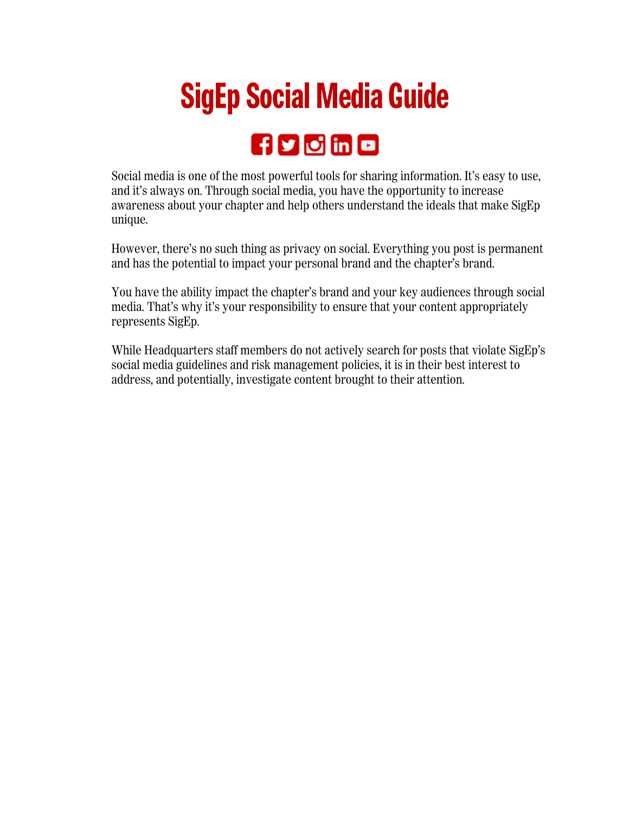## **SigEp Social Media Guide**

## **figloling**

Social media is one of the most powerful tools for sharing information. It's easy to use, and it's always on. Through social media, you have the opportunity to increase awareness about your chapter and help others understand the ideals that make SigEp unique.

However, there's no such thing as privacy on social. Everything you post is permanent and has the potential to impact your personal brand and the chapter's brand.

You have the ability impact the chapter's brand and your key audiences through social media. That's why it's your responsibility to ensure that your content appropriately represents SigEp.

While Headquarters staff members do not actively search for posts that violate SigEp's social media guidelines and risk management policies, it is in their best interest to address, and potentially, investigate content brought to their attention.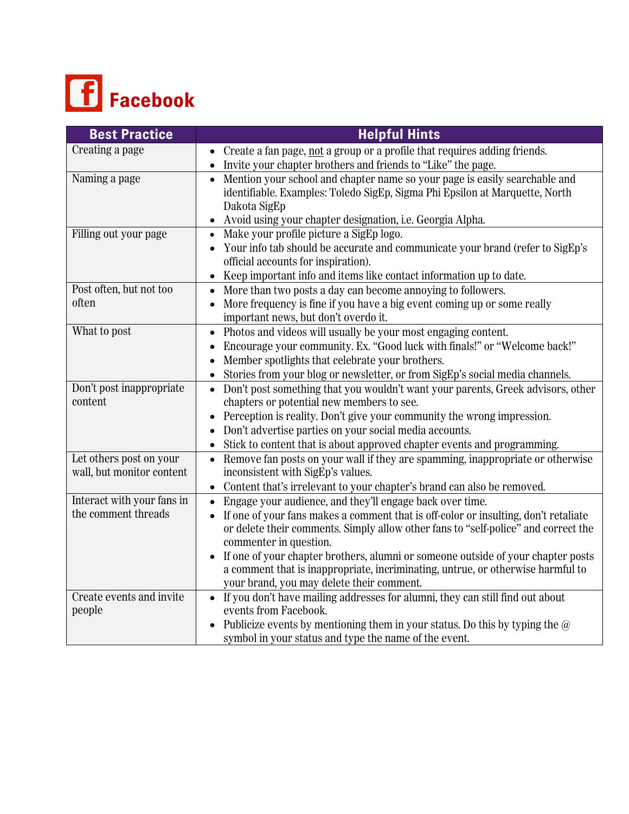

| <b>Best Practice</b>                                 | <b>Helpful Hints</b>                                                                                                |
|------------------------------------------------------|---------------------------------------------------------------------------------------------------------------------|
| Creating a page                                      | • Create a fan page, not a group or a profile that requires adding friends.                                         |
|                                                      | Invite your chapter brothers and friends to "Like" the page.                                                        |
| Naming a page                                        | Mention your school and chapter name so your page is easily searchable and                                          |
|                                                      | identifiable. Examples: Toledo SigEp, Sigma Phi Epsilon at Marquette, North                                         |
|                                                      | Dakota SigEp                                                                                                        |
| Filling out your page                                | Avoid using your chapter designation, i.e. Georgia Alpha.<br>Make your profile picture a SigEp logo.                |
|                                                      | Your info tab should be accurate and communicate your brand (refer to SigEp's                                       |
|                                                      | official accounts for inspiration).                                                                                 |
|                                                      | Keep important info and items like contact information up to date.                                                  |
| Post often, but not too                              | More than two posts a day can become annoying to followers.                                                         |
| often                                                | More frequency is fine if you have a big event coming up or some really                                             |
|                                                      | important news, but don't overdo it.                                                                                |
| What to post                                         | Photos and videos will usually be your most engaging content.                                                       |
|                                                      | Encourage your community. Ex. "Good luck with finals!" or "Welcome back!"                                           |
|                                                      | Member spotlights that celebrate your brothers.                                                                     |
|                                                      | Stories from your blog or newsletter, or from SigEp's social media channels.                                        |
| Don't post inappropriate                             | Don't post something that you wouldn't want your parents, Greek advisors, other                                     |
| content                                              | chapters or potential new members to see.                                                                           |
|                                                      | Perception is reality. Don't give your community the wrong impression.                                              |
|                                                      | Don't advertise parties on your social media accounts.                                                              |
|                                                      | Stick to content that is about approved chapter events and programming.                                             |
| Let others post on your<br>wall, but monitor content | Remove fan posts on your wall if they are spamming, inappropriate or otherwise<br>inconsistent with SigEp's values. |
|                                                      | • Content that's irrelevant to your chapter's brand can also be removed.                                            |
| Interact with your fans in                           | Engage your audience, and they'll engage back over time.                                                            |
| the comment threads                                  | If one of your fans makes a comment that is off-color or insulting, don't retaliate                                 |
|                                                      | or delete their comments. Simply allow other fans to "self-police" and correct the                                  |
|                                                      | commenter in question.                                                                                              |
|                                                      | If one of your chapter brothers, alumni or someone outside of your chapter posts                                    |
|                                                      | a comment that is inappropriate, incriminating, untrue, or otherwise harmful to                                     |
|                                                      | your brand, you may delete their comment.                                                                           |
| Create events and invite                             | If you don't have mailing addresses for alumni, they can still find out about                                       |
| people                                               | events from Facebook.                                                                                               |
|                                                      | Publicize events by mentioning them in your status. Do this by typing the $\omega$                                  |
|                                                      | symbol in your status and type the name of the event.                                                               |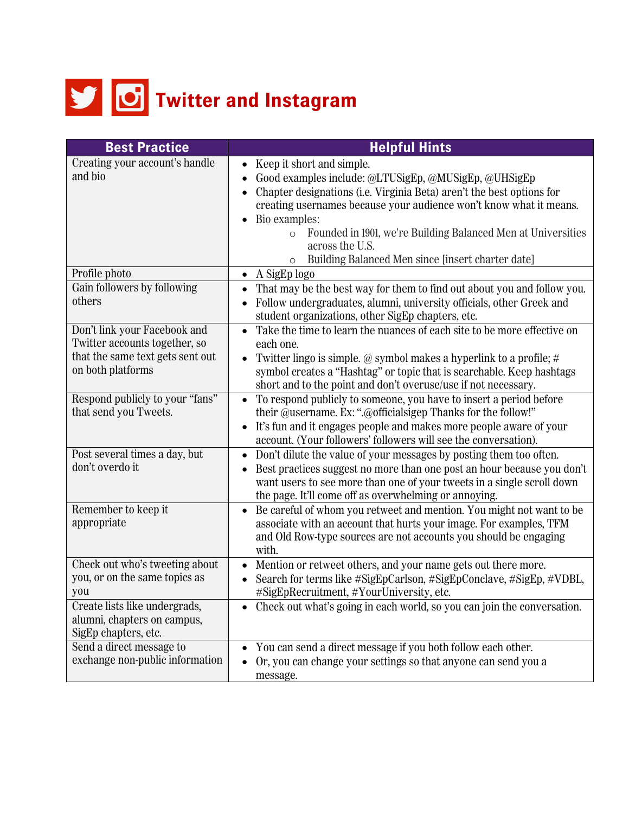

| <b>Best Practice</b>                                                                 | <b>Helpful Hints</b>                                                                                                                                                                                                                                                            |
|--------------------------------------------------------------------------------------|---------------------------------------------------------------------------------------------------------------------------------------------------------------------------------------------------------------------------------------------------------------------------------|
| Creating your account's handle<br>and bio                                            | Keep it short and simple.<br>$\bullet$<br>Good examples include: @LTUSigEp, @MUSigEp, @UHSigEp<br>Chapter designations (i.e. Virginia Beta) aren't the best options for<br>creating usernames because your audience won't know what it means.                                   |
|                                                                                      | Bio examples:<br>Founded in 1901, we're Building Balanced Men at Universities<br>$\circ$<br>across the U.S.<br>Building Balanced Men since [insert charter date]<br>$\circ$                                                                                                     |
| Profile photo                                                                        | A SigEp logo<br>$\bullet$                                                                                                                                                                                                                                                       |
| Gain followers by following<br>others                                                | That may be the best way for them to find out about you and follow you.<br>Follow undergraduates, alumni, university officials, other Greek and<br>student organizations, other SigEp chapters, etc.                                                                            |
| Don't link your Facebook and<br>Twitter accounts together, so                        | Take the time to learn the nuances of each site to be more effective on<br>$\bullet$<br>each one.                                                                                                                                                                               |
| that the same text gets sent out<br>on both platforms                                | Twitter lingo is simple. @ symbol makes a hyperlink to a profile; $#$<br>symbol creates a "Hashtag" or topic that is searchable. Keep hashtags<br>short and to the point and don't overuse/use if not necessary.                                                                |
| Respond publicly to your "fans"<br>that send you Tweets.                             | To respond publicly to someone, you have to insert a period before<br>their @username. Ex: ".@officialsigep Thanks for the follow!"<br>It's fun and it engages people and makes more people aware of your<br>account. (Your followers' followers will see the conversation).    |
| Post several times a day, but<br>don't overdo it                                     | Don't dilute the value of your messages by posting them too often.<br>Best practices suggest no more than one post an hour because you don't<br>want users to see more than one of your tweets in a single scroll down<br>the page. It'll come off as overwhelming or annoying. |
| Remember to keep it<br>appropriate                                                   | Be careful of whom you retweet and mention. You might not want to be<br>$\bullet$<br>associate with an account that hurts your image. For examples, TFM<br>and Old Row-type sources are not accounts you should be engaging<br>with.                                            |
| Check out who's tweeting about<br>you, or on the same topics as<br>you               | Mention or retweet others, and your name gets out there more.<br>$\bullet$<br>Search for terms like #SigEpCarlson, #SigEpConclave, #SigEp, #VDBL,<br>#SigEpRecruitment, #YourUniversity, etc.                                                                                   |
| Create lists like undergrads,<br>alumni, chapters on campus,<br>SigEp chapters, etc. | • Check out what's going in each world, so you can join the conversation.                                                                                                                                                                                                       |
| Send a direct message to                                                             | You can send a direct message if you both follow each other.                                                                                                                                                                                                                    |
| exchange non-public information                                                      | Or, you can change your settings so that anyone can send you a<br>message.                                                                                                                                                                                                      |